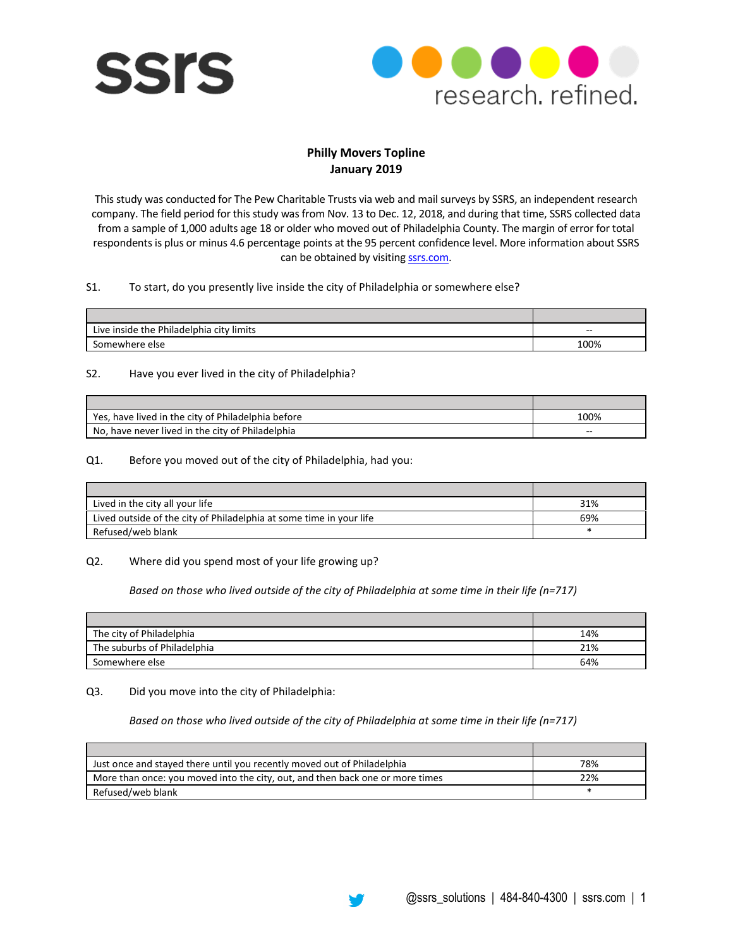



# **Philly Movers Topline January 2019**

This study was conducted for The Pew Charitable Trusts via web and mail surveys by SSRS, an independent research company. The field period for this study was from Nov. 13 to Dec. 12, 2018, and during that time, SSRS collected data from a sample of 1,000 adults age 18 or older who moved out of Philadelphia County. The margin of error for total respondents is plus or minus 4.6 percentage points at the 95 percent confidence level. More information about SSRS can be obtained by visiting **ssrs.com**.

# S1. To start, do you presently live inside the city of Philadelphia or somewhere else?

| Live inside the Philadelphia<br>city limits | $- -$ |
|---------------------------------------------|-------|
| Somewhere else                              | 100%  |

# S2. Have you ever lived in the city of Philadelphia?

| Yes, have lived in the city of Philadelphia before | 100% |
|----------------------------------------------------|------|
| No, have never lived in the city of Philadelphia   | --   |

# Q1. Before you moved out of the city of Philadelphia, had you:

| Lived in the city all your life                                     | 31% |
|---------------------------------------------------------------------|-----|
| Lived outside of the city of Philadelphia at some time in your life | 69% |
| Refused/web blank                                                   |     |

#### Q2. Where did you spend most of your life growing up?

*Based on those who lived outside of the city of Philadelphia at some time in their life (n=717)*

| The city of Philadelphia    | 14% |
|-----------------------------|-----|
| The suburbs of Philadelphia | 21% |
| Somewhere else              | 64% |

#### Q3. Did you move into the city of Philadelphia:

*Based on those who lived outside of the city of Philadelphia at some time in their life (n=717)*

| Just once and stayed there until you recently moved out of Philadelphia       | 78% |
|-------------------------------------------------------------------------------|-----|
| More than once: you moved into the city, out, and then back one or more times | 22% |
| Refused/web blank                                                             |     |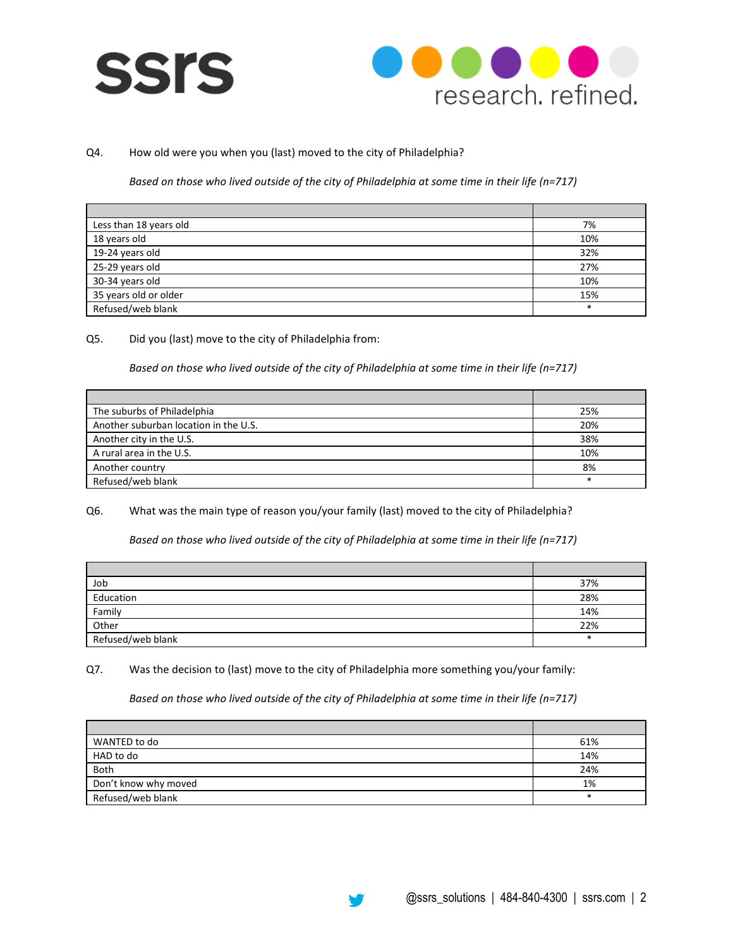



# Q4. How old were you when you (last) moved to the city of Philadelphia?

*Based on those who lived outside of the city of Philadelphia at some time in their life (n=717)*

| Less than 18 years old | 7%     |
|------------------------|--------|
| 18 years old           | 10%    |
| 19-24 years old        | 32%    |
| 25-29 years old        | 27%    |
| 30-34 years old        | 10%    |
| 35 years old or older  | 15%    |
| Refused/web blank      | $\ast$ |

Q5. Did you (last) move to the city of Philadelphia from:

*Based on those who lived outside of the city of Philadelphia at some time in their life (n=717)*

| The suburbs of Philadelphia           | 25% |
|---------------------------------------|-----|
| Another suburban location in the U.S. | 20% |
| Another city in the U.S.              | 38% |
| A rural area in the U.S.              | 10% |
| Another country                       | 8%  |
| Refused/web blank                     |     |

Q6. What was the main type of reason you/your family (last) moved to the city of Philadelphia?

*Based on those who lived outside of the city of Philadelphia at some time in their life (n=717)*

| Job               | 37% |
|-------------------|-----|
| Education         | 28% |
| Family            | 14% |
| Other             | 22% |
| Refused/web blank |     |

Q7. Was the decision to (last) move to the city of Philadelphia more something you/your family:

*Based on those who lived outside of the city of Philadelphia at some time in their life (n=717)*

| WANTED to do         | 61% |
|----------------------|-----|
| HAD to do            | 14% |
| Both                 | 24% |
| Don't know why moved | 1%  |
| Refused/web blank    |     |

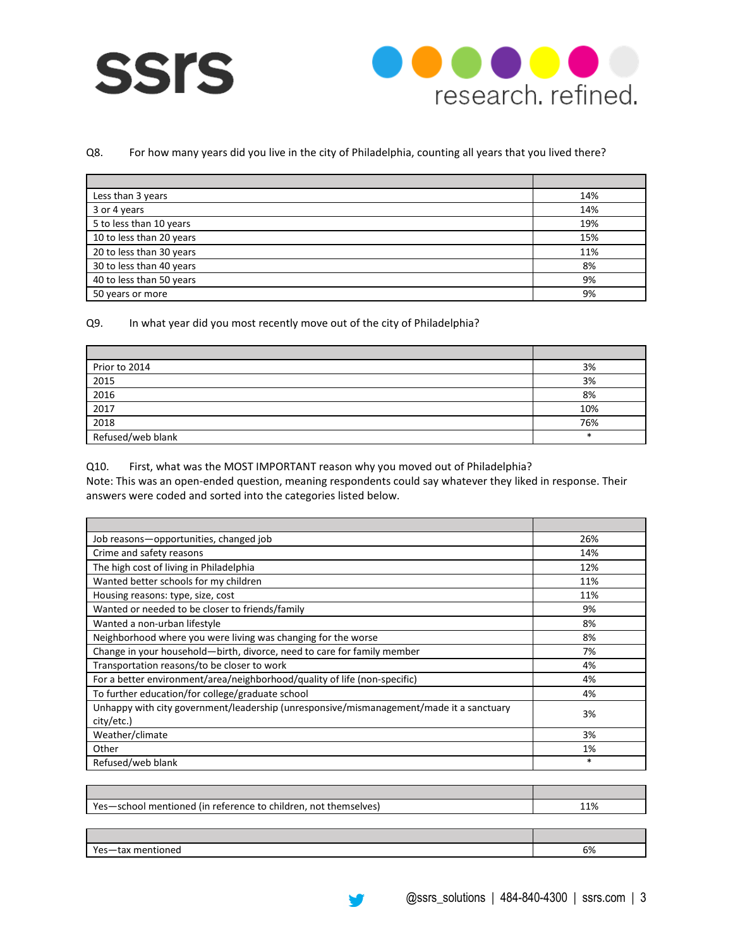



# Q8. For how many years did you live in the city of Philadelphia, counting all years that you lived there?

| Less than 3 years        | 14% |
|--------------------------|-----|
| 3 or 4 years             | 14% |
| 5 to less than 10 years  | 19% |
| 10 to less than 20 years | 15% |
| 20 to less than 30 years | 11% |
| 30 to less than 40 years | 8%  |
| 40 to less than 50 years | 9%  |
| 50 years or more         | 9%  |

#### Q9. In what year did you most recently move out of the city of Philadelphia?

| Prior to 2014     | 3%  |
|-------------------|-----|
| 2015              | 3%  |
| 2016              | 8%  |
| 2017              | 10% |
| 2018              | 76% |
| Refused/web blank | ÷   |

# Q10. First, what was the MOST IMPORTANT reason why you moved out of Philadelphia?

Note: This was an open-ended question, meaning respondents could say whatever they liked in response. Their answers were coded and sorted into the categories listed below.

| Job reasons-opportunities, changed job                                                                | 26%    |
|-------------------------------------------------------------------------------------------------------|--------|
| Crime and safety reasons                                                                              | 14%    |
| The high cost of living in Philadelphia                                                               | 12%    |
| Wanted better schools for my children                                                                 | 11%    |
| Housing reasons: type, size, cost                                                                     | 11%    |
| Wanted or needed to be closer to friends/family                                                       | 9%     |
| Wanted a non-urban lifestyle                                                                          | 8%     |
| Neighborhood where you were living was changing for the worse                                         | 8%     |
| Change in your household-birth, divorce, need to care for family member                               | 7%     |
| Transportation reasons/to be closer to work                                                           | 4%     |
| For a better environment/area/neighborhood/quality of life (non-specific)                             | 4%     |
| To further education/for college/graduate school                                                      | 4%     |
| Unhappy with city government/leadership (unresponsive/mismanagement/made it a sanctuary<br>city/etc.) | 3%     |
| Weather/climate                                                                                       | 3%     |
| Other                                                                                                 | 1%     |
| Refused/web blank                                                                                     | $\ast$ |

| Yes-school mentioned (in reference to children, not themselves) | 11% |
|-----------------------------------------------------------------|-----|
|                                                                 |     |
|                                                                 |     |
| Yes-tax mentioned                                               | 6%  |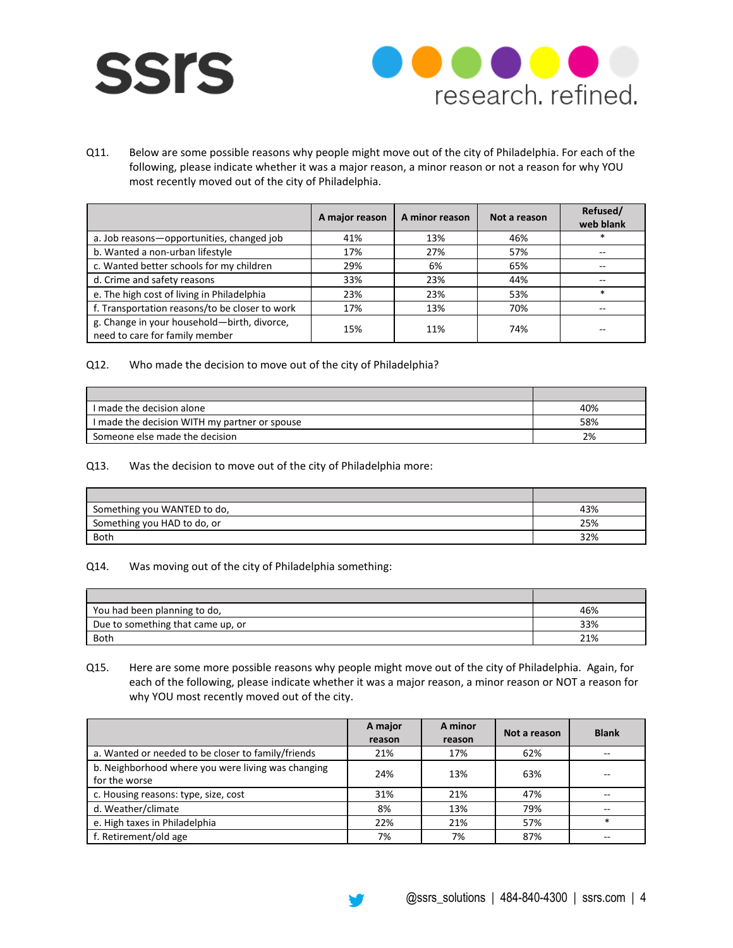



Q11. Below are some possible reasons why people might move out of the city of Philadelphia. For each of the following, please indicate whether it was a major reason, a minor reason or not a reason for why YOU most recently moved out of the city of Philadelphia.

|                                                                               | A major reason | A minor reason | Not a reason | Refused/<br>web blank |
|-------------------------------------------------------------------------------|----------------|----------------|--------------|-----------------------|
| a. Job reasons-opportunities, changed job                                     | 41%            | 13%            | 46%          | *                     |
| b. Wanted a non-urban lifestyle                                               | 17%            | 27%            | 57%          |                       |
| c. Wanted better schools for my children                                      | 29%            | 6%             | 65%          | --                    |
| d. Crime and safety reasons                                                   | 33%            | 23%            | 44%          | --                    |
| e. The high cost of living in Philadelphia                                    | 23%            | 23%            | 53%          | $\ast$                |
| f. Transportation reasons/to be closer to work                                | 17%            | 13%            | 70%          |                       |
| g. Change in your household-birth, divorce,<br>need to care for family member | 15%            | 11%            | 74%          |                       |

# Q12. Who made the decision to move out of the city of Philadelphia?

| I made the decision alone                     | 40% |
|-----------------------------------------------|-----|
| I made the decision WITH my partner or spouse | 58% |
| Someone else made the decision                | 2%  |

#### Q13. Was the decision to move out of the city of Philadelphia more:

| Something you WANTED to do, | 43% |
|-----------------------------|-----|
| Something you HAD to do, or | 25% |
| Both                        | 32% |

#### Q14. Was moving out of the city of Philadelphia something:

| You had been planning to do,      | 46% |
|-----------------------------------|-----|
| Due to something that came up, or | 33% |
| Both                              | 21% |

# Q15. Here are some more possible reasons why people might move out of the city of Philadelphia. Again, for each of the following, please indicate whether it was a major reason, a minor reason or NOT a reason for why YOU most recently moved out of the city.

|                                                                     | A major<br>reason | A minor<br>reason | Not a reason | <b>Blank</b> |
|---------------------------------------------------------------------|-------------------|-------------------|--------------|--------------|
| a. Wanted or needed to be closer to family/friends                  | 21%               | 17%               | 62%          |              |
| b. Neighborhood where you were living was changing<br>for the worse | 24%               | 13%               | 63%          |              |
| c. Housing reasons: type, size, cost                                | 31%               | 21%               | 47%          | --           |
| d. Weather/climate                                                  | 8%                | 13%               | 79%          | --           |
| e. High taxes in Philadelphia                                       | 22%               | 21%               | 57%          | $\ast$       |
| f. Retirement/old age                                               | 7%                | 7%                | 87%          |              |

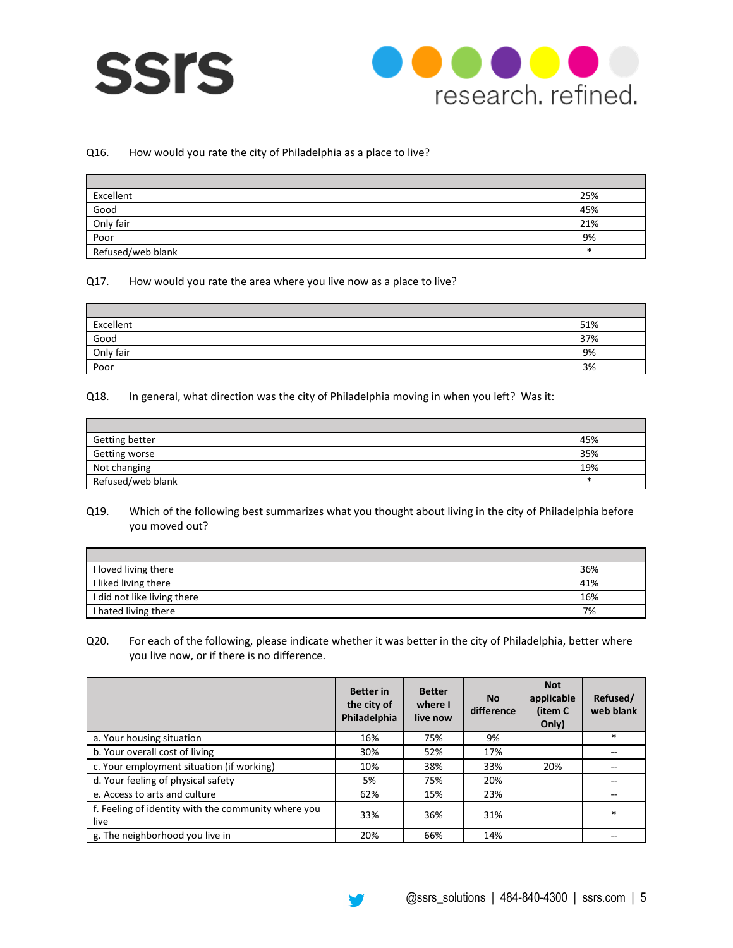



#### Q16. How would you rate the city of Philadelphia as a place to live?

| Excellent         | 25% |
|-------------------|-----|
| Good              | 45% |
| Only fair         | 21% |
| Poor              | 9%  |
| Refused/web blank |     |

# Q17. How would you rate the area where you live now as a place to live?

| Excellent | 51% |
|-----------|-----|
| Good      | 37% |
| Only fair | 9%  |
| Poor      | 3%  |

#### Q18. In general, what direction was the city of Philadelphia moving in when you left? Was it:

| Getting better    | 45% |
|-------------------|-----|
| Getting worse     | 35% |
| Not changing      | 19% |
| Refused/web blank |     |

# Q19. Which of the following best summarizes what you thought about living in the city of Philadelphia before you moved out?

| I loved living there        | 36% |
|-----------------------------|-----|
| I liked living there        | 41% |
| I did not like living there | 16% |
| I hated living there        | 7%  |

Q20. For each of the following, please indicate whether it was better in the city of Philadelphia, better where you live now, or if there is no difference.

|                                                             | <b>Better</b> in<br>the city of<br>Philadelphia | <b>Better</b><br>where I<br>live now | <b>No</b><br>difference | <b>Not</b><br>applicable<br>(item C<br>Only) | Refused/<br>web blank |
|-------------------------------------------------------------|-------------------------------------------------|--------------------------------------|-------------------------|----------------------------------------------|-----------------------|
| a. Your housing situation                                   | 16%                                             | 75%                                  | 9%                      |                                              | $\ast$                |
| b. Your overall cost of living                              | 30%                                             | 52%                                  | 17%                     |                                              | $-$                   |
| c. Your employment situation (if working)                   | 10%                                             | 38%                                  | 33%                     | 20%                                          |                       |
| d. Your feeling of physical safety                          | 5%                                              | 75%                                  | 20%                     |                                              | --                    |
| e. Access to arts and culture                               | 62%                                             | 15%                                  | 23%                     |                                              |                       |
| f. Feeling of identity with the community where you<br>live | 33%                                             | 36%                                  | 31%                     |                                              | $\ast$                |
| g. The neighborhood you live in                             | 20%                                             | 66%                                  | 14%                     |                                              |                       |

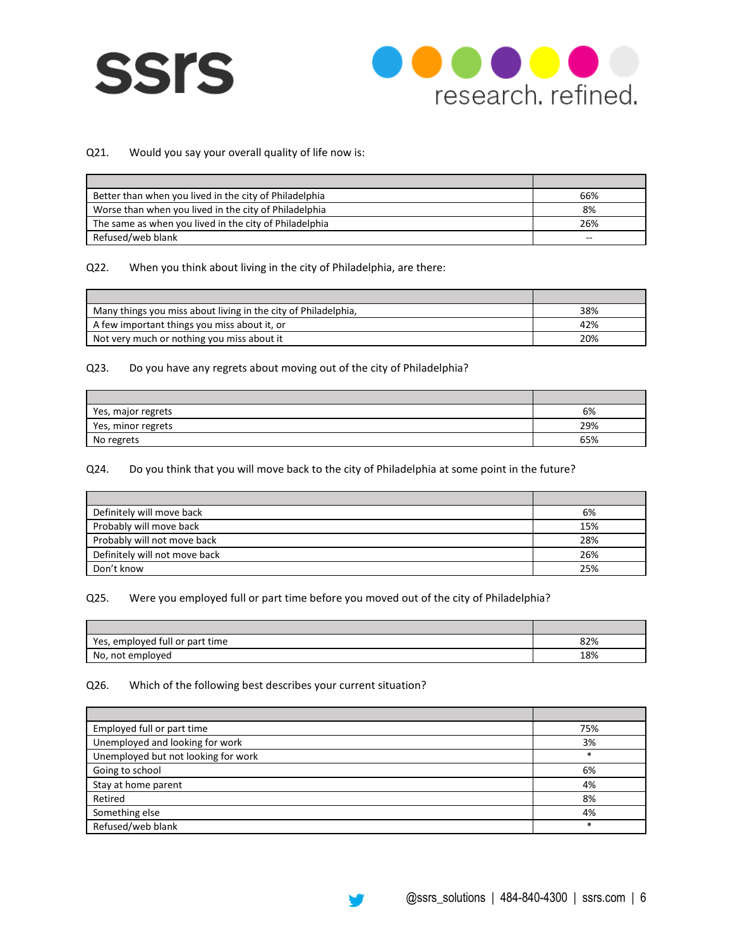



# Q21. Would you say your overall quality of life now is:

| Better than when you lived in the city of Philadelphia | 66%   |
|--------------------------------------------------------|-------|
| Worse than when you lived in the city of Philadelphia  | 8%    |
| The same as when you lived in the city of Philadelphia | 26%   |
| Refused/web blank                                      | $- -$ |

#### Q22. When you think about living in the city of Philadelphia, are there:

| Many things you miss about living in the city of Philadelphia, | 38% |
|----------------------------------------------------------------|-----|
| A few important things you miss about it, or                   | 42% |
| Not very much or nothing you miss about it                     | 20% |

# Q23. Do you have any regrets about moving out of the city of Philadelphia?

| Yes, major regrets | 6%  |
|--------------------|-----|
| Yes, minor regrets | 29% |
| No regrets         | 65% |

# Q24. Do you think that you will move back to the city of Philadelphia at some point in the future?

| Definitely will move back     | 6%  |
|-------------------------------|-----|
| Probably will move back       | 15% |
| Probably will not move back   | 28% |
| Definitely will not move back | 26% |
| Don't know                    | 25% |

# Q25. Were you employed full or part time before you moved out of the city of Philadelphia?

| employed full or part time<br>Yes. | 82% |
|------------------------------------|-----|
| No, not employed                   | 18% |

# Q26. Which of the following best describes your current situation?

 $\blacksquare$ 

| Employed full or part time          | 75%    |
|-------------------------------------|--------|
| Unemployed and looking for work     | 3%     |
| Unemployed but not looking for work | $\ast$ |
| Going to school                     | 6%     |
| Stay at home parent                 | 4%     |
| Retired                             | 8%     |
| Something else                      | 4%     |
| Refused/web blank                   | $\ast$ |



÷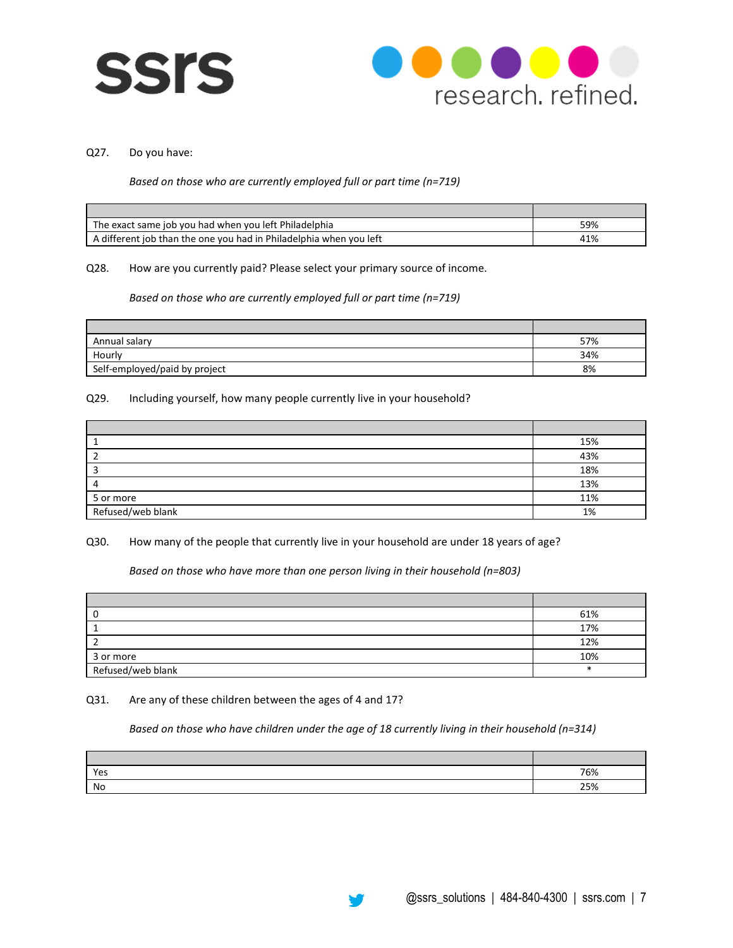



#### Q27. Do you have:

#### *Based on those who are currently employed full or part time (n=719)*

| The exact same job you had when you left Philadelphia              | 59% |
|--------------------------------------------------------------------|-----|
| A different job than the one you had in Philadelphia when you left | 41% |

#### Q28. How are you currently paid? Please select your primary source of income.

# *Based on those who are currently employed full or part time (n=719)*

| Annual salary                 | 57% |
|-------------------------------|-----|
| Hourly                        | 34% |
| Self-employed/paid by project | 8%  |

#### Q29. Including yourself, how many people currently live in your household?

|                   | 15% |
|-------------------|-----|
|                   | 43% |
|                   | 18% |
|                   | 13% |
| 5 or more         | 11% |
| Refused/web blank | 1%  |

# Q30. How many of the people that currently live in your household are under 18 years of age?

*Based on those who have more than one person living in their household (n=803)*

|                   | 61% |
|-------------------|-----|
|                   | 17% |
|                   | 12% |
| 3 or more         | 10% |
| Refused/web blank |     |

#### Q31. Are any of these children between the ages of 4 and 17?

*Based on those who have children under the age of 18 currently living in their household (n=314)*

| Yes | 76% |
|-----|-----|
| No  | 25% |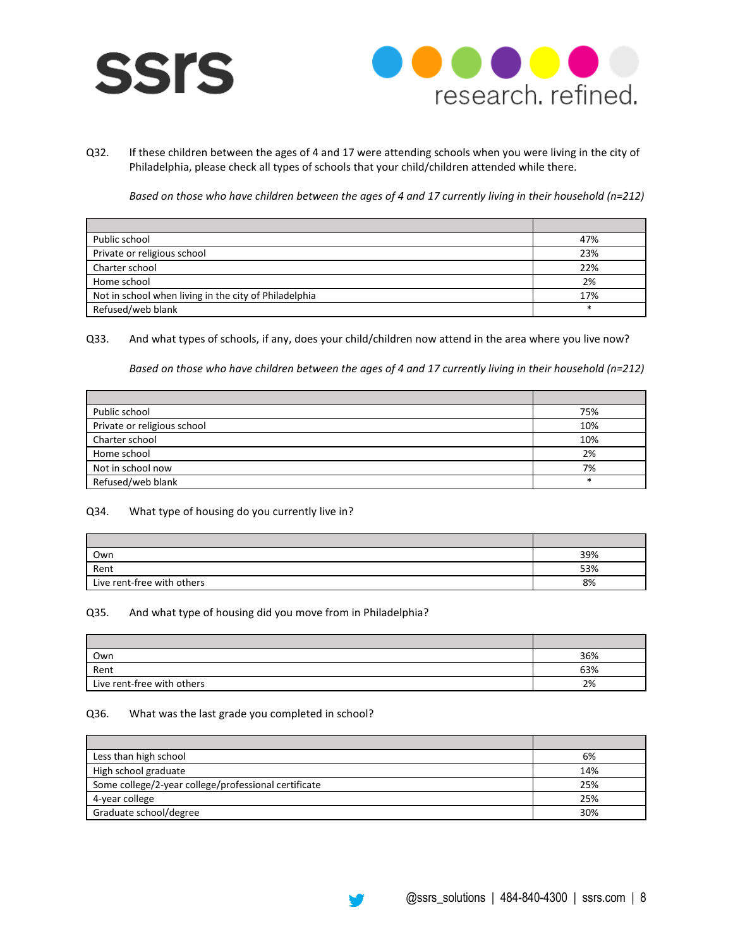



Q32. If these children between the ages of 4 and 17 were attending schools when you were living in the city of Philadelphia, please check all types of schools that your child/children attended while there.

*Based on those who have children between the ages of 4 and 17 currently living in their household (n=212)*

| Public school                                         | 47%    |
|-------------------------------------------------------|--------|
| Private or religious school                           | 23%    |
| Charter school                                        | 22%    |
| Home school                                           | 2%     |
| Not in school when living in the city of Philadelphia | 17%    |
| Refused/web blank                                     | $\ast$ |

Q33. And what types of schools, if any, does your child/children now attend in the area where you live now?

*Based on those who have children between the ages of 4 and 17 currently living in their household (n=212)*

| Public school               | 75%    |
|-----------------------------|--------|
| Private or religious school | 10%    |
| Charter school              | 10%    |
| Home school                 | 2%     |
| Not in school now           | 7%     |
| Refused/web blank           | $\ast$ |

#### Q34. What type of housing do you currently live in?

| Own                        | 39% |
|----------------------------|-----|
| Rent                       | 53% |
| Live rent-free with others | 8%  |

## Q35. And what type of housing did you move from in Philadelphia?

| Own                        | 36% |
|----------------------------|-----|
| Rent                       | 63% |
| Live rent-free with others | 2%  |

#### Q36. What was the last grade you completed in school?

| Less than high school                                | 6%  |
|------------------------------------------------------|-----|
| High school graduate                                 | 14% |
| Some college/2-year college/professional certificate | 25% |
| 4-year college                                       | 25% |
| Graduate school/degree                               | 30% |